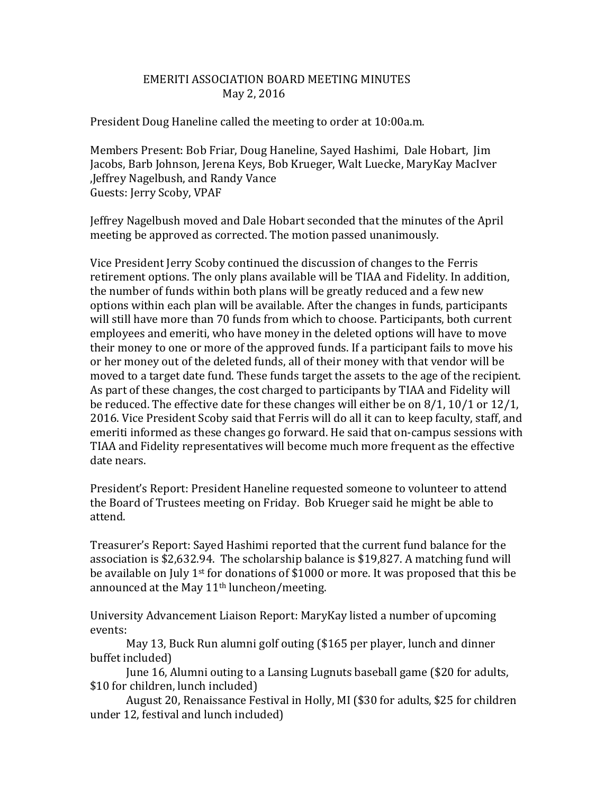## EMERITI ASSOCIATION BOARD MEETING MINUTES May 2, 2016

President Doug Haneline called the meeting to order at 10:00a.m.

Members Present: Bob Friar, Doug Haneline, Sayed Hashimi, Dale Hobart, Jim Jacobs, Barb Johnson, Jerena Keys, Bob Krueger, Walt Luecke, MaryKay MacIver ,Jeffrey Nagelbush, and Randy Vance Guests: Jerry Scoby, VPAF

Jeffrey Nagelbush moved and Dale Hobart seconded that the minutes of the April meeting be approved as corrected. The motion passed unanimously.

Vice President Jerry Scoby continued the discussion of changes to the Ferris retirement options. The only plans available will be TIAA and Fidelity. In addition, the number of funds within both plans will be greatly reduced and a few new options within each plan will be available. After the changes in funds, participants will still have more than 70 funds from which to choose. Participants, both current employees and emeriti, who have money in the deleted options will have to move their money to one or more of the approved funds. If a participant fails to move his or her money out of the deleted funds, all of their money with that vendor will be moved to a target date fund. These funds target the assets to the age of the recipient. As part of these changes, the cost charged to participants by TIAA and Fidelity will be reduced. The effective date for these changes will either be on 8/1, 10/1 or 12/1, 2016. Vice President Scoby said that Ferris will do all it can to keep faculty, staff, and emeriti informed as these changes go forward. He said that on-campus sessions with TIAA and Fidelity representatives will become much more frequent as the effective date nears.

President's Report: President Haneline requested someone to volunteer to attend the Board of Trustees meeting on Friday. Bob Krueger said he might be able to attend.

Treasurer's Report: Sayed Hashimi reported that the current fund balance for the association is \$2,632.94. The scholarship balance is \$19,827. A matching fund will be available on July 1<sup>st</sup> for donations of \$1000 or more. It was proposed that this be announced at the May 11<sup>th</sup> luncheon/meeting.

University Advancement Liaison Report: MaryKay listed a number of upcoming events:

May 13, Buck Run alumni golf outing (\$165 per player, lunch and dinner buffet included)

June 16, Alumni outing to a Lansing Lugnuts baseball game (\$20 for adults, \$10 for children, lunch included)

August 20, Renaissance Festival in Holly, MI (\$30 for adults, \$25 for children under 12, festival and lunch included)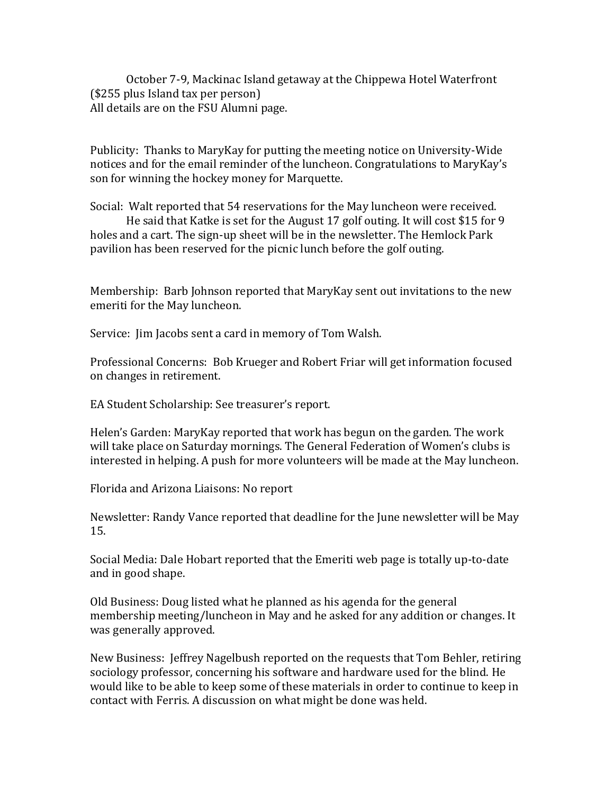October 7-9, Mackinac Island getaway at the Chippewa Hotel Waterfront (\$255 plus Island tax per person) All details are on the FSU Alumni page.

Publicity: Thanks to MaryKay for putting the meeting notice on University-Wide notices and for the email reminder of the luncheon. Congratulations to MaryKay's son for winning the hockey money for Marquette.

Social: Walt reported that 54 reservations for the May luncheon were received. He said that Katke is set for the August 17 golf outing. It will cost \$15 for 9 holes and a cart. The sign-up sheet will be in the newsletter. The Hemlock Park pavilion has been reserved for the picnic lunch before the golf outing.

Membership: Barb Johnson reported that MaryKay sent out invitations to the new emeriti for the May luncheon.

Service: Jim Jacobs sent a card in memory of Tom Walsh.

Professional Concerns: Bob Krueger and Robert Friar will get information focused on changes in retirement.

EA Student Scholarship: See treasurer's report.

Helen's Garden: MaryKay reported that work has begun on the garden. The work will take place on Saturday mornings. The General Federation of Women's clubs is interested in helping. A push for more volunteers will be made at the May luncheon.

Florida and Arizona Liaisons: No report

Newsletter: Randy Vance reported that deadline for the June newsletter will be May 15.

Social Media: Dale Hobart reported that the Emeriti web page is totally up-to-date and in good shape.

Old Business: Doug listed what he planned as his agenda for the general membership meeting/luncheon in May and he asked for any addition or changes. It was generally approved.

New Business: Jeffrey Nagelbush reported on the requests that Tom Behler, retiring sociology professor, concerning his software and hardware used for the blind. He would like to be able to keep some of these materials in order to continue to keep in contact with Ferris. A discussion on what might be done was held.